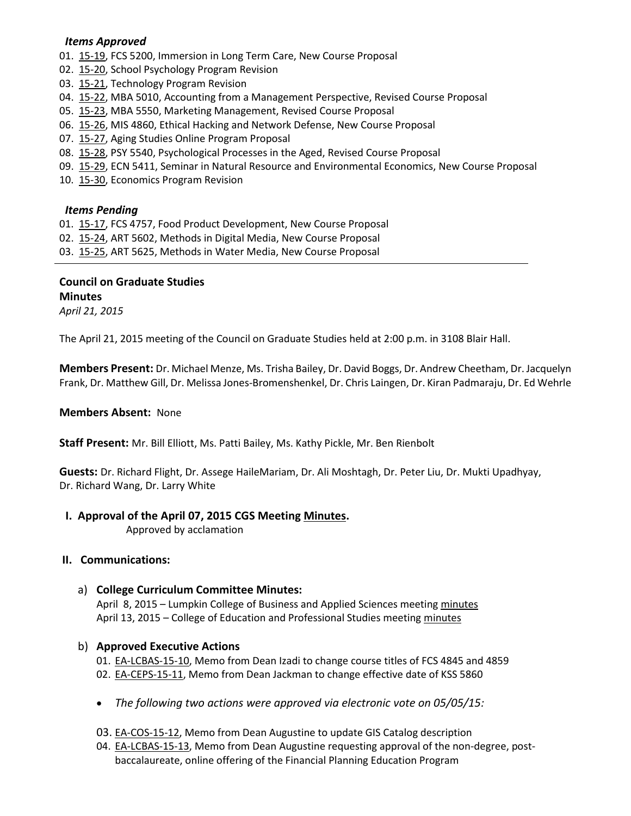#### *Items Approved*

- 01. [15-19,](http://castle.eiu.edu/~eiucgs/currentagendaitems/agenda15-19.pdf) FCS 5200, Immersion in Long Term Care, New Course Proposal
- 02. [15-20,](http://castle.eiu.edu/~eiucgs/currentagendaitems/agenda15-20.pdf) School Psychology Program Revision
- 03. [15-21,](http://castle.eiu.edu/~eiucgs/currentagendaitems/agenda15-21.pdf) Technology Program Revision
- 04. [15-22,](http://castle.eiu.edu/~eiucgs/currentagendaitems/agenda15-22.pdf) MBA 5010, Accounting from a Management Perspective, Revised Course Proposal
- 05. [15-23,](http://castle.eiu.edu/~eiucgs/currentagendaitems/agenda15-23.pdf) MBA 5550, Marketing Management, Revised Course Proposal
- 06. [15-26,](http://castle.eiu.edu/~eiucgs/currentagendaitems/agenda15-26.pdf) MIS 4860, Ethical Hacking and Network Defense, New Course Proposal
- 07. [15-27,](http://castle.eiu.edu/~eiucgs/currentagendaitems/agenda15-27.pdf) Aging Studies Online Program Proposal
- 08. [15-28,](http://castle.eiu.edu/~eiucgs/currentagendaitems/agenda15-28.pdf) PSY 5540, Psychological Processes in the Aged, Revised Course Proposal
- 09. [15-29,](http://castle.eiu.edu/~eiucgs/currentagendaitems/agenda15-29.pdf) ECN 5411, Seminar in Natural Resource and Environmental Economics, New Course Proposal
- 10. [15-30,](http://castle.eiu.edu/~eiucgs/currentagendaitems/agenda15-30.pdf) Economics Program Revision

#### *Items Pending*

- 01. [15-17,](http://castle.eiu.edu/~eiucgs/currentagendaitems/agenda15-17.pdf) FCS 4757, Food Product Development, New Course Proposal
- 02. [15-24,](http://castle.eiu.edu/~eiucgs/currentagendaitems/agenda15-24.pdf) ART 5602, Methods in Digital Media, New Course Proposal
- 03. [15-25,](http://castle.eiu.edu/~eiucgs/currentagendaitems/agenda15-25.pdf) ART 5625, Methods in Water Media, New Course Proposal

# **Council on Graduate Studies Minutes**

*April 21, 2015*

The April 21, 2015 meeting of the Council on Graduate Studies held at 2:00 p.m. in 3108 Blair Hall.

**Members Present:** Dr. Michael Menze, Ms. Trisha Bailey, Dr. David Boggs, Dr. Andrew Cheetham, Dr. Jacquelyn Frank, Dr. Matthew Gill, Dr. Melissa Jones-Bromenshenkel, Dr. Chris Laingen, Dr. Kiran Padmaraju, Dr. Ed Wehrle

#### **Members Absent:** None

**Staff Present:** Mr. Bill Elliott, Ms. Patti Bailey, Ms. Kathy Pickle, Mr. Ben Rienbolt

**Guests:** Dr. Richard Flight, Dr. Assege HaileMariam, Dr. Ali Moshtagh, Dr. Peter Liu, Dr. Mukti Upadhyay, Dr. Richard Wang, Dr. Larry White

## **I. Approval of the April 07, 2015 CGS Meetin[g Minutes.](http://castle.eiu.edu/eiucgs/currentminutes/Minutes04-07-15.pdf)**

Approved by acclamation

## **II. Communications:**

a) **College Curriculum Committee Minutes:**

April 8, 2015 – Lumpkin College of Business and Applied Sciences meetin[g minutes](http://castle.eiu.edu/~eiucgs/currentagendaitems/LCBASMin04-08-15.pdf) April 13, 2015 – College of Education and Professional Studies meeting [minutes](http://castle.eiu.edu/~eiucgs/currentagendaitems/CEPSMin04-13-15.pdf)

## b) **Approved Executive Actions**

- 01. [EA-LCBAS-15-10,](http://castle.eiu.edu/~eiucgs/exec-actions/EA-LCBAS-15-10.pdf) Memo from Dean Izadi to change course titles of FCS 4845 and 4859
- 02. [EA-CEPS-15-11,](http://castle.eiu.edu/~eiucgs/exec-actions/EA-CEPS-15-11.pdf) Memo from Dean Jackman to change effective date of KSS 5860
- *The following two actions were approved via electronic vote on 05/05/15:*
- 03. [EA-COS-15-12,](http://castle.eiu.edu/~eiucgs/exec-actions/EA-COS-15-12.pdf) Memo from Dean Augustine to update GIS Catalog description
- 04. [EA-LCBAS-15-13,](http://castle.eiu.edu/~eiucgs/exec-actions/EA-LCBAS-15-13.pdf) Memo from Dean Augustine requesting approval of the non-degree, postbaccalaureate, online offering of the Financial Planning Education Program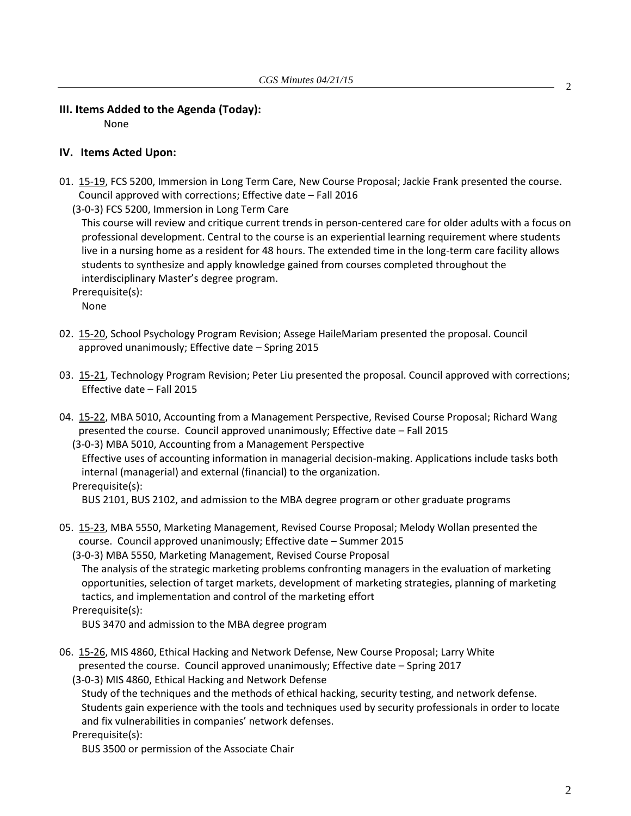## **III. Items Added to the Agenda (Today):**

None

#### **IV. Items Acted Upon:**

01. [15-19,](http://castle.eiu.edu/~eiucgs/currentagendaitems/agenda15-19.pdf) FCS 5200, Immersion in Long Term Care, New Course Proposal; Jackie Frank presented the course. Council approved with corrections; Effective date – Fall 2016

(3-0-3) FCS 5200, Immersion in Long Term Care

This course will review and critique current trends in person-centered care for older adults with a focus on professional development. Central to the course is an experiential learning requirement where students live in a nursing home as a resident for 48 hours. The extended time in the long-term care facility allows students to synthesize and apply knowledge gained from courses completed throughout the interdisciplinary Master's degree program.

Prerequisite(s):

None

- 02. [15-20,](http://castle.eiu.edu/~eiucgs/currentagendaitems/agenda15-20.pdf) School Psychology Program Revision; Assege HaileMariam presented the proposal. Council approved unanimously; Effective date – Spring 2015
- 03. [15-21,](http://castle.eiu.edu/~eiucgs/currentagendaitems/agenda15-21.pdf) Technology Program Revision; Peter Liu presented the proposal. Council approved with corrections; Effective date – Fall 2015
- 04. [15-22,](http://castle.eiu.edu/~eiucgs/currentagendaitems/agenda15-22.pdf) MBA 5010, Accounting from a Management Perspective, Revised Course Proposal; Richard Wang presented the course. Council approved unanimously; Effective date – Fall 2015

 (3-0-3) MBA 5010, Accounting from a Management Perspective Effective uses of accounting information in managerial decision-making. Applications include tasks both internal (managerial) and external (financial) to the organization.

Prerequisite(s):

BUS 2101, BUS 2102, and admission to the MBA degree program or other graduate programs

05. [15-23,](http://castle.eiu.edu/~eiucgs/currentagendaitems/agenda15-23.pdf) MBA 5550, Marketing Management, Revised Course Proposal; Melody Wollan presented the course. Council approved unanimously; Effective date – Summer 2015

(3-0-3) MBA 5550, Marketing Management, Revised Course Proposal

The analysis of the strategic marketing problems confronting managers in the evaluation of marketing opportunities, selection of target markets, development of marketing strategies, planning of marketing tactics, and implementation and control of the marketing effort

Prerequisite(s):

BUS 3470 and admission to the MBA degree program

06. [15-26,](http://castle.eiu.edu/~eiucgs/currentagendaitems/agenda15-26.pdf) MIS 4860, Ethical Hacking and Network Defense, New Course Proposal; Larry White presented the course. Council approved unanimously; Effective date – Spring 2017

(3-0-3) MIS 4860, Ethical Hacking and Network Defense

Study of the techniques and the methods of ethical hacking, security testing, and network defense. Students gain experience with the tools and techniques used by security professionals in order to locate and fix vulnerabilities in companies' network defenses.

Prerequisite(s):

BUS 3500 or permission of the Associate Chair

2

2